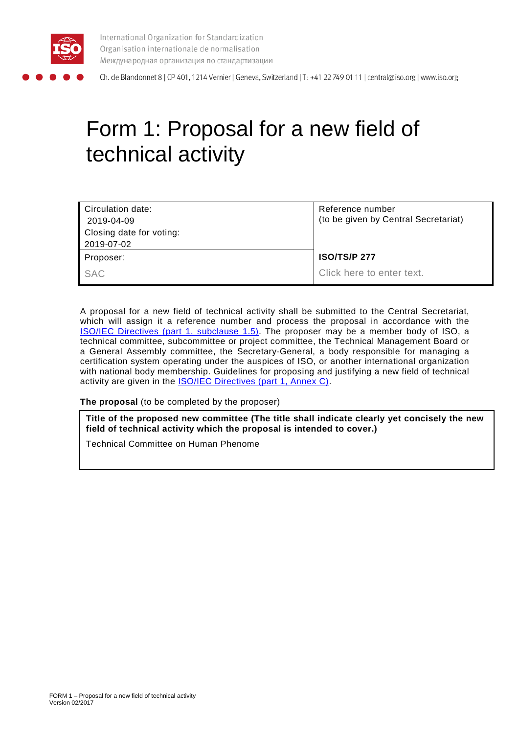

International Organization for Standardization Organisation internationale de normalisation Международная организация по стандартизации

Ch. de Blandonnet 8 | CP 401, 1214 Vernier | Geneva, Switzerland | T: +41 22 749 01 11 | central@iso.org | www.iso.org

# Form 1: Proposal for a new field of technical activity

| Circulation date:        | Reference number                     |
|--------------------------|--------------------------------------|
| 2019-04-09               | (to be given by Central Secretariat) |
| Closing date for voting: |                                      |
| 2019-07-02               |                                      |
| Proposer:                | <b>ISO/TS/P 277</b>                  |
| SAC                      | Click here to enter text.            |

A proposal for a new field of technical activity shall be submitted to the Central Secretariat, which will assign it a reference number and process the proposal in accordance with the [ISO/IEC Directives \(part 1, subclause 1.5\).](http://isotc.iso.org/livelink/livelink?func=ll&objId=4230452&objAction=browse&sort=subtype) The proposer may be a member body of ISO, a technical committee, subcommittee or project committee, the Technical Management Board or a General Assembly committee, the Secretary-General, a body responsible for managing a certification system operating under the auspices of ISO, or another international organization with national body membership. Guidelines for proposing and justifying a new field of technical activity are given in the [ISO/IEC Directives \(part 1, Annex C\).](http://isotc.iso.org/livelink/livelink?func=ll&objId=4230452&objAction=browse&sort=subtype)

**The proposal** (to be completed by the proposer)

**Title of the proposed new committee (The title shall indicate clearly yet concisely the new field of technical activity which the proposal is intended to cover.)**

Technical Committee on Human Phenome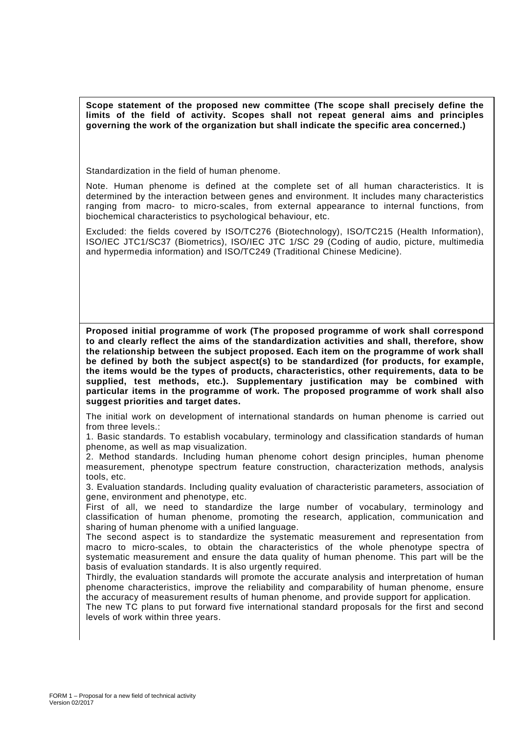**Scope statement of the proposed new committee (The scope shall precisely define the limits of the field of activity. Scopes shall not repeat general aims and principles governing the work of the organization but shall indicate the specific area concerned.)**

Standardization in the field of human phenome.

Note. Human phenome is defined at the complete set of all human characteristics. It is determined by the interaction between genes and environment. It includes many characteristics ranging from macro- to micro-scales, from external appearance to internal functions, from biochemical characteristics to psychological behaviour, etc.

Excluded: the fields covered by ISO/TC276 (Biotechnology), ISO/TC215 (Health Information), ISO/IEC JTC1/SC37 (Biometrics), ISO/IEC JTC 1/SC 29 (Coding of audio, picture, multimedia and hypermedia information) and ISO/TC249 (Traditional Chinese Medicine).

**Proposed initial programme of work (The proposed programme of work shall correspond to and clearly reflect the aims of the standardization activities and shall, therefore, show the relationship between the subject proposed. Each item on the programme of work shall be defined by both the subject aspect(s) to be standardized (for products, for example, the items would be the types of products, characteristics, other requirements, data to be supplied, test methods, etc.). Supplementary justification may be combined with particular items in the programme of work. The proposed programme of work shall also suggest priorities and target dates.**

The initial work on development of international standards on human phenome is carried out from three levels.

1. Basic standards. To establish vocabulary, terminology and classification standards of human phenome, as well as map visualization.

2. Method standards. Including human phenome cohort design principles, human phenome measurement, phenotype spectrum feature construction, characterization methods, analysis tools, etc.

3. Evaluation standards. Including quality evaluation of characteristic parameters, association of gene, environment and phenotype, etc.

First of all, we need to standardize the large number of vocabulary, terminology and classification of human phenome, promoting the research, application, communication and sharing of human phenome with a unified language.

The second aspect is to standardize the systematic measurement and representation from macro to micro-scales, to obtain the characteristics of the whole phenotype spectra of systematic measurement and ensure the data quality of human phenome. This part will be the basis of evaluation standards. It is also urgently required.

Thirdly, the evaluation standards will promote the accurate analysis and interpretation of human phenome characteristics, improve the reliability and comparability of human phenome, ensure the accuracy of measurement results of human phenome, and provide support for application.

The new TC plans to put forward five international standard proposals for the first and second levels of work within three years.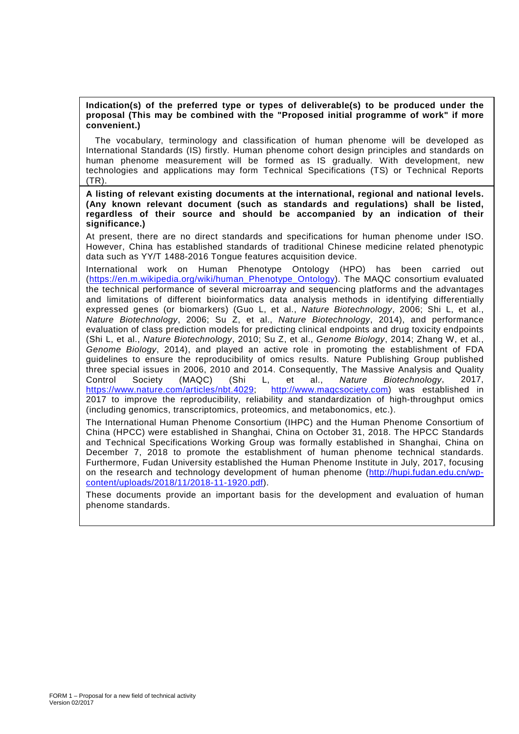#### **Indication(s) of the preferred type or types of deliverable(s) to be produced under the proposal (This may be combined with the "Proposed initial programme of work" if more convenient.)**

The vocabulary, terminology and classification of human phenome will be developed as International Standards (IS) firstly. Human phenome cohort design principles and standards on human phenome measurement will be formed as IS gradually. With development, new technologies and applications may form Technical Specifications (TS) or Technical Reports (TR).

**A listing of relevant existing documents at the international, regional and national levels. (Any known relevant document (such as standards and regulations) shall be listed, regardless of their source and should be accompanied by an indication of their significance.)**

At present, there are no direct standards and specifications for human phenome under ISO. However, China has established standards of traditional Chinese medicine related phenotypic data such as YY/T 1488-2016 Tongue features acquisition device.

International work on Human Phenotype Ontology (HPO) has been carried out [\(https://en.m.wikipedia.org/wiki/human\\_Phenotype\\_Ontology\)](https://en.m.wikipedia.org/wiki/human_Phenotype_Ontology). The MAQC consortium evaluated the technical performance of several microarray and sequencing platforms and the advantages and limitations of different bioinformatics data analysis methods in identifying differentially expressed genes (or biomarkers) (Guo L, et al., *Nature Biotechnology*, 2006; Shi L, et al., *Nature Biotechnology*, 2006; Su Z, et al., *Nature Biotechnology*, 2014), and performance evaluation of class prediction models for predicting clinical endpoints and drug toxicity endpoints (Shi L, et al., *Nature Biotechnology*, 2010; Su Z, et al., *Genome Biology*, 2014; Zhang W, et al., *Genome Biology*, 2014), and played an active role in promoting the establishment of FDA guidelines to ensure the reproducibility of omics results. Nature Publishing Group published three special issues in 2006, 2010 and 2014. Consequently, The Massive Analysis and Quality<br>Control Society (MAQC) (Shi L, et al., Nature Biotechnology, 2017, Control Society (MAQC) (Shi L, et al., *Nature Biotechnology*, 2017, [http://www.maqcsociety.com\)](http://www.maqcsociety.com/) was established in 2017 to improve the reproducibility, reliability and standardization of high-throughput omics (including genomics, transcriptomics, proteomics, and metabonomics, etc.).

The International Human Phenome Consortium (IHPC) and the Human Phenome Consortium of China (HPCC) were established in Shanghai, China on October 31, 2018. The HPCC Standards and Technical Specifications Working Group was formally established in Shanghai, China on December 7, 2018 to promote the establishment of human phenome technical standards. Furthermore, Fudan University established the Human Phenome Institute in July, 2017, focusing on the research and technology development of human phenome [\(http://hupi.fudan.edu.cn/wp](http://hupi.fudan.edu.cn/wp-content/uploads/2018/11/2018-11-1920.pdf)[content/uploads/2018/11/2018-11-1920.pdf\)](http://hupi.fudan.edu.cn/wp-content/uploads/2018/11/2018-11-1920.pdf).

These documents provide an important basis for the development and evaluation of human phenome standards.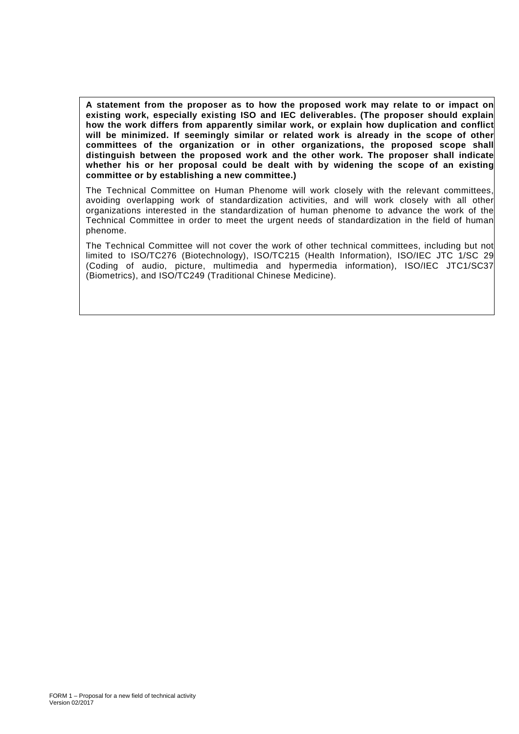**A statement from the proposer as to how the proposed work may relate to or impact on existing work, especially existing ISO and IEC deliverables. (The proposer should explain how the work differs from apparently similar work, or explain how duplication and conflict will be minimized. If seemingly similar or related work is already in the scope of other committees of the organization or in other organizations, the proposed scope shall distinguish between the proposed work and the other work. The proposer shall indicate whether his or her proposal could be dealt with by widening the scope of an existing committee or by establishing a new committee.)**

The Technical Committee on Human Phenome will work closely with the relevant committees, avoiding overlapping work of standardization activities, and will work closely with all other organizations interested in the standardization of human phenome to advance the work of the Technical Committee in order to meet the urgent needs of standardization in the field of human phenome.

The Technical Committee will not cover the work of other technical committees, including but not limited to ISO/TC276 (Biotechnology), ISO/TC215 (Health Information), ISO/IEC JTC 1/SC 29 (Coding of audio, picture, multimedia and hypermedia information), ISO/IEC JTC1/SC37 (Biometrics), and ISO/TC249 (Traditional Chinese Medicine).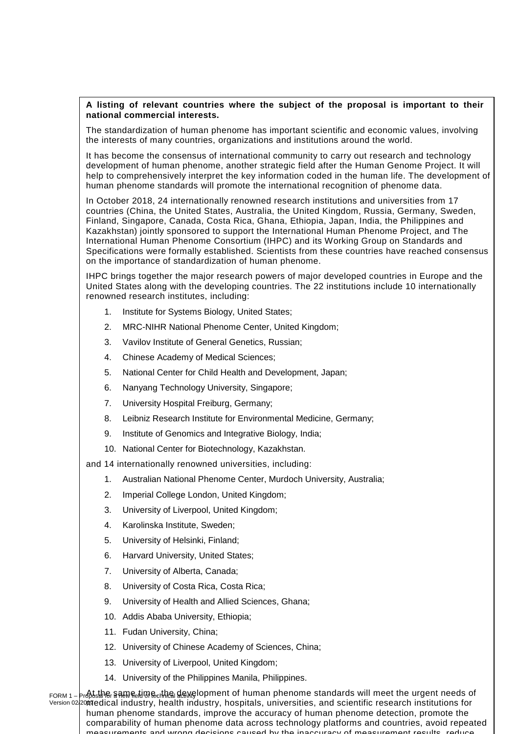## **A listing of relevant countries where the subject of the proposal is important to their national commercial interests.**

The standardization of human phenome has important scientific and economic values, involving the interests of many countries, organizations and institutions around the world.

It has become the consensus of international community to carry out research and technology development of human phenome, another strategic field after the Human Genome Project. It will help to comprehensively interpret the key information coded in the human life. The development of human phenome standards will promote the international recognition of phenome data.

In October 2018, 24 internationally renowned research institutions and universities from 17 countries (China, the United States, Australia, the United Kingdom, Russia, Germany, Sweden, Finland, Singapore, Canada, Costa Rica, Ghana, Ethiopia, Japan, India, the Philippines and Kazakhstan) jointly sponsored to support the International Human Phenome Project, and The International Human Phenome Consortium (IHPC) and its Working Group on Standards and Specifications were formally established. Scientists from these countries have reached consensus on the importance of standardization of human phenome.

IHPC brings together the major research powers of major developed countries in Europe and the United States along with the developing countries. The 22 institutions include 10 internationally renowned research institutes, including:

- 1. Institute for Systems Biology, United States;
- 2. MRC-NIHR National Phenome Center, United Kingdom;
- 3. Vavilov Institute of General Genetics, Russian;
- 4. Chinese Academy of Medical Sciences;
- 5. National Center for Child Health and Development, Japan;
- 6. Nanyang Technology University, Singapore;
- 7. University Hospital Freiburg, Germany;
- 8. Leibniz Research Institute for Environmental Medicine, Germany;
- 9. Institute of Genomics and Integrative Biology, India;
- 10. National Center for Biotechnology, Kazakhstan.

and 14 internationally renowned universities, including:

- 1. Australian National Phenome Center, Murdoch University, Australia;
- 2. Imperial College London, United Kingdom;
- 3. University of Liverpool, United Kingdom;
- 4. Karolinska Institute, Sweden;
- 5. University of Helsinki, Finland;
- 6. Harvard University, United States;
- 7. University of Alberta, Canada;
- 8. University of Costa Rica, Costa Rica;
- 9. University of Health and Allied Sciences, Ghana;
- 10. Addis Ababa University, Ethiopia;
- 11. Fudan University, China;
- 12. University of Chinese Academy of Sciences, China;
- 13. University of Liverpool, United Kingdom;
- 14. University of the Philippines Manila, Philippines.

ғоռм ı <sub>-</sub> þթֆեshթ, sаmе եկտе եկեց վеже lopment of human phenome standards will meet the urgent needs of Version 02/2017 medical industry, health industry, hospitals, universities, and scientific research institutions for human phenome standards, improve the accuracy of human phenome detection, promote the comparability of human phenome data across technology platforms and countries, avoid repeated measurements and wrong decisions caused by the inaccuracy of measurement results reduce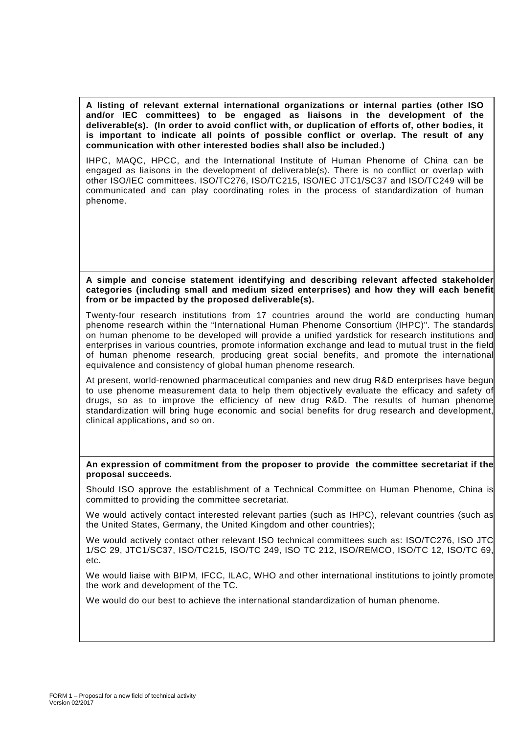**A listing of relevant external international organizations or internal parties (other ISO and/or IEC committees) to be engaged as liaisons in the development of the deliverable(s). (In order to avoid conflict with, or duplication of efforts of, other bodies, it is important to indicate all points of possible conflict or overlap. The result of any communication with other interested bodies shall also be included.)**

IHPC, MAQC, HPCC, and the International Institute of Human Phenome of China can be engaged as liaisons in the development of deliverable(s). There is no conflict or overlap with other ISO/IEC committees. ISO/TC276, ISO/TC215, ISO/IEC JTC1/SC37 and ISO/TC249 will be communicated and can play coordinating roles in the process of standardization of human phenome.

#### **A simple and concise statement identifying and describing relevant affected stakeholder categories (including small and medium sized enterprises) and how they will each benefit from or be impacted by the proposed deliverable(s).**

Twenty-four research institutions from 17 countries around the world are conducting human phenome research within the "International Human Phenome Consortium (IHPC)". The standards on human phenome to be developed will provide a unified yardstick for research institutions and enterprises in various countries, promote information exchange and lead to mutual trust in the field of human phenome research, producing great social benefits, and promote the international equivalence and consistency of global human phenome research.

At present, world-renowned pharmaceutical companies and new drug R&D enterprises have begun to use phenome measurement data to help them objectively evaluate the efficacy and safety of drugs, so as to improve the efficiency of new drug R&D. The results of human phenome standardization will bring huge economic and social benefits for drug research and development, clinical applications, and so on.

## **An expression of commitment from the proposer to provide the committee secretariat if the proposal succeeds.**

Should ISO approve the establishment of a Technical Committee on Human Phenome, China is committed to providing the committee secretariat.

We would actively contact interested relevant parties (such as IHPC), relevant countries (such as the United States, Germany, the United Kingdom and other countries);

We would actively contact other relevant ISO technical committees such as: ISO/TC276, ISO JTC 1/SC 29, JTC1/SC37, ISO/TC215, ISO/TC 249, ISO TC 212, ISO/REMCO, ISO/TC 12, ISO/TC 69, etc.

We would liaise with BIPM, IFCC, ILAC, WHO and other international institutions to jointly promote the work and development of the TC.

We would do our best to achieve the international standardization of human phenome.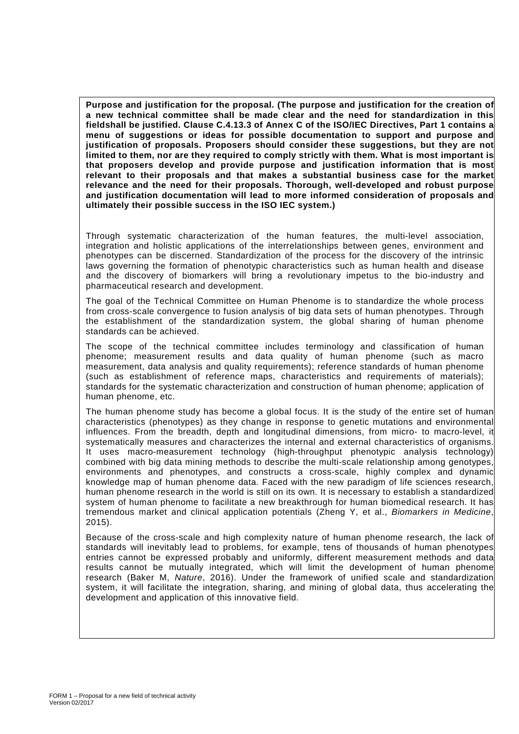**Purpose and justification for the proposal. (The purpose and justification for the creation of a new technical committee shall be made clear and the need for standardization in this fieldshall be justified. Clause C.4.13.3 of Annex C of the ISO/IEC Directives, Part 1 contains a menu of suggestions or ideas for possible documentation to support and purpose and justification of proposals. Proposers should consider these suggestions, but they are not limited to them, nor are they required to comply strictly with them. What is most important is that proposers develop and provide purpose and justification information that is most relevant to their proposals and that makes a substantial business case for the market relevance and the need for their proposals. Thorough, well-developed and robust purpose and justification documentation will lead to more informed consideration of proposals and ultimately their possible success in the ISO IEC system.)**

Through systematic characterization of the human features, the multi-level association, integration and holistic applications of the interrelationships between genes, environment and phenotypes can be discerned. Standardization of the process for the discovery of the intrinsic laws governing the formation of phenotypic characteristics such as human health and disease and the discovery of biomarkers will bring a revolutionary impetus to the bio-industry and pharmaceutical research and development.

The goal of the Technical Committee on Human Phenome is to standardize the whole process from cross-scale convergence to fusion analysis of big data sets of human phenotypes. Through the establishment of the standardization system, the global sharing of human phenome standards can be achieved.

The scope of the technical committee includes terminology and classification of human phenome; measurement results and data quality of human phenome (such as macro measurement, data analysis and quality requirements); reference standards of human phenome (such as establishment of reference maps, characteristics and requirements of materials); standards for the systematic characterization and construction of human phenome; application of human phenome, etc.

The human phenome study has become a global focus. It is the study of the entire set of human characteristics (phenotypes) as they change in response to genetic mutations and environmental influences. From the breadth, depth and longitudinal dimensions, from micro- to macro-level, it systematically measures and characterizes the internal and external characteristics of organisms. It uses macro-measurement technology (high-throughput phenotypic analysis technology) combined with big data mining methods to describe the multi-scale relationship among genotypes, environments and phenotypes, and constructs a cross-scale, highly complex and dynamic knowledge map of human phenome data. Faced with the new paradigm of life sciences research, human phenome research in the world is still on its own. It is necessary to establish a standardized system of human phenome to facilitate a new breakthrough for human biomedical research. It has tremendous market and clinical application potentials (Zheng Y, et al., *Biomarkers in Medicine*, 2015).

Because of the cross-scale and high complexity nature of human phenome research, the lack of standards will inevitably lead to problems, for example, tens of thousands of human phenotypes entries cannot be expressed probably and uniformly, different measurement methods and data results cannot be mutually integrated, which will limit the development of human phenome research (Baker M, *Nature*, 2016). Under the framework of unified scale and standardization system, it will facilitate the integration, sharing, and mining of global data, thus accelerating the development and application of this innovative field.